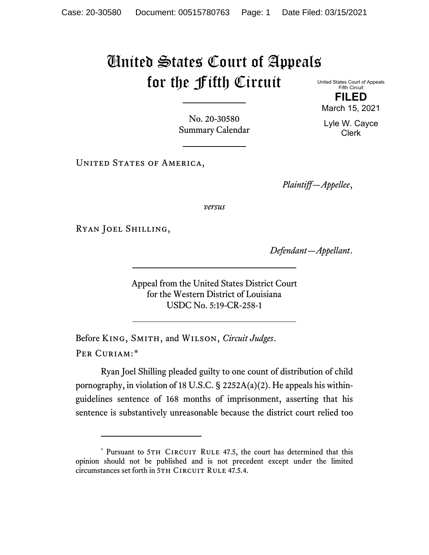## United States Court of Appeals for the Fifth Circuit United States Court of Appeals

Fifth Circuit **FILED**

No. 20-30580 Summary Calendar

UNITED STATES OF AMERICA,

*Plaintiff—Appellee*,

*versus*

Ryan Joel Shilling,

*Defendant—Appellant*.

Appeal from the United States District Court for the Western District of Louisiana USDC No. 5:19-CR-258-1

Before King, Smith, and Wilson, *Circuit Judges*. Per Curiam:[\\*](#page-0-0)

Ryan Joel Shilling pleaded guilty to one count of distribution of child pornography, in violation of 18 U.S.C. § 2252A(a)(2). He appeals his withinguidelines sentence of 168 months of imprisonment, asserting that his sentence is substantively unreasonable because the district court relied too

March 15, 2021 Lyle W. Cayce

Clerk

<span id="page-0-0"></span><sup>\*</sup> Pursuant to 5TH CIRCUIT RULE 47.5, the court has determined that this opinion should not be published and is not precedent except under the limited circumstances set forth in 5TH CIRCUIT RULE 47.5.4.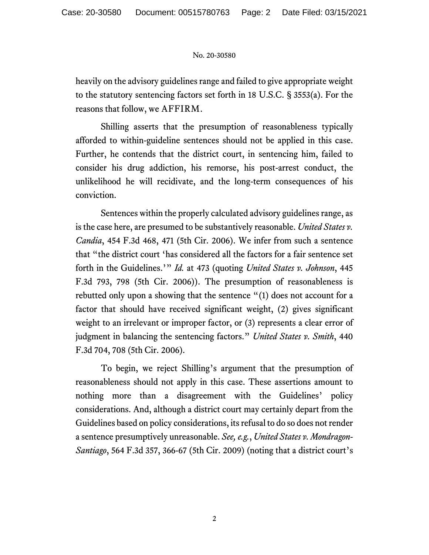## No. 20-30580

heavily on the advisory guidelines range and failed to give appropriate weight to the statutory sentencing factors set forth in 18 U.S.C. § 3553(a). For the reasons that follow, we AFFIRM.

Shilling asserts that the presumption of reasonableness typically afforded to within-guideline sentences should not be applied in this case. Further, he contends that the district court, in sentencing him, failed to consider his drug addiction, his remorse, his post-arrest conduct, the unlikelihood he will recidivate, and the long-term consequences of his conviction.

Sentences within the properly calculated advisory guidelines range, as is the case here, are presumed to be substantively reasonable. *United States v. Candia*, 454 F.3d 468, 471 (5th Cir. 2006). We infer from such a sentence that "the district court 'has considered all the factors for a fair sentence set forth in the Guidelines.'" *Id.* at 473 (quoting *United States v. Johnson*, 445 F.3d 793, 798 (5th Cir. 2006)). The presumption of reasonableness is rebutted only upon a showing that the sentence "(1) does not account for a factor that should have received significant weight, (2) gives significant weight to an irrelevant or improper factor, or (3) represents a clear error of judgment in balancing the sentencing factors." *United States v. Smith*, 440 F.3d 704, 708 (5th Cir. 2006).

To begin, we reject Shilling's argument that the presumption of reasonableness should not apply in this case. These assertions amount to nothing more than a disagreement with the Guidelines' policy considerations. And, although a district court may certainly depart from the Guidelines based on policy considerations, its refusal to do so does not render a sentence presumptively unreasonable. *See, e.g.*, *United States v. Mondragon-Santiago*, 564 F.3d 357, 366-67 (5th Cir. 2009) (noting that a district court's